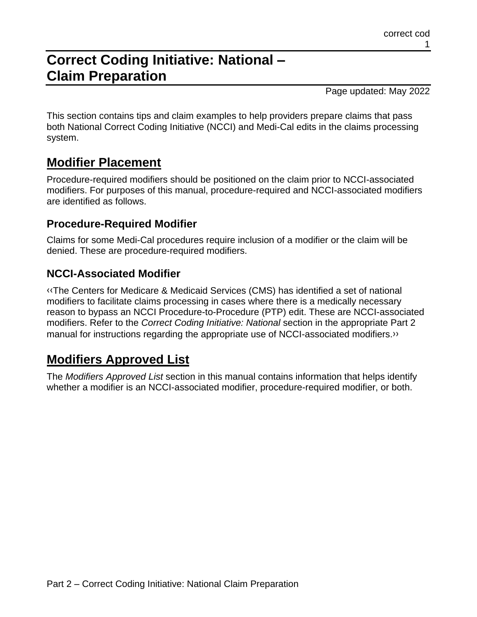# **Correct Coding Initiative: National – Claim Preparation**

Page updated: May 2022

This section contains tips and claim examples to help providers prepare claims that pass both National Correct Coding Initiative (NCCI) and Medi-Cal edits in the claims processing system.

### **Modifier Placement**

Procedure-required modifiers should be positioned on the claim prior to NCCI-associated modifiers. For purposes of this manual, procedure-required and NCCI-associated modifiers are identified as follows.

### **Procedure-Required Modifier**

Claims for some Medi-Cal procedures require inclusion of a modifier or the claim will be denied. These are procedure-required modifiers.

### **NCCI-Associated Modifier**

[‹‹T](#page-3-0)he Centers for Medicare & Medicaid Services (CMS) has identified a set of national modifiers to facilitate claims processing in cases where there is a medically necessary reason to bypass an NCCI Procedure-to-Procedure (PTP) edit. These are NCCI-associated modifiers. Refer to the *Correct Coding Initiative: National* section in the appropriate Part 2 manual for instructions regarding the appropriate use of NCCI-associated modifiers[.››](#page-3-1)

## **Modifiers Approved List**

The *Modifiers Approved List* section in this manual contains information that helps identify whether a modifier is an NCCI-associated modifier, procedure-required modifier, or both.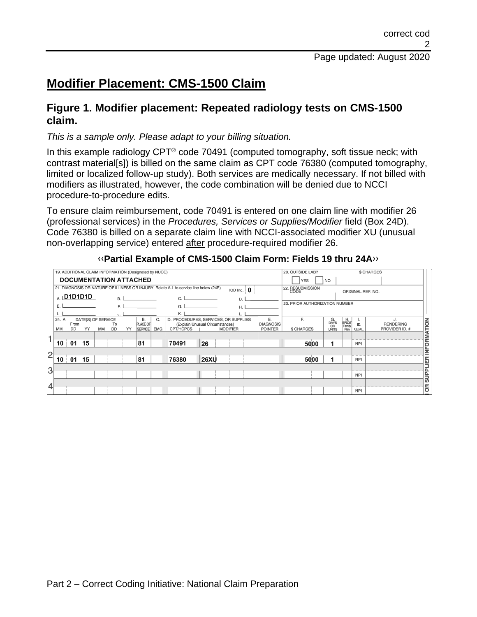## **Modifier Placement: CMS-1500 Claim**

### **Figure 1. Modifier placement: Repeated radiology tests on CMS-1500 claim.**

#### *This is a sample only. Please adapt to your billing situation.*

In this example radiology CPT<sup>®</sup> code 70491 (computed tomography, soft tissue neck; with contrast material[s]) is billed on the same claim as CPT code 76380 (computed tomography, limited or localized follow-up study). Both services are medically necessary. If not billed with modifiers as illustrated, however, the code combination will be denied due to NCCI procedure-to-procedure edits.

To ensure claim reimbursement, code 70491 is entered on one claim line with modifier 26 (professional services) in the *Procedures, Services or Supplies/Modifier* field (Box 24D). Code 76380 is billed on a separate claim line with NCCI-associated modifier XU (unusual non-overlapping service) entered after procedure-required modifier 26.

|                |                                                                                                          |                   |                          |           |                 |    |                                   |            |                                              |                                |  |                                       |  |                                    | 20. OUTSIDE LAB?  |                                  |                               |                    | \$ CHARGES                         |             |
|----------------|----------------------------------------------------------------------------------------------------------|-------------------|--------------------------|-----------|-----------------|----|-----------------------------------|------------|----------------------------------------------|--------------------------------|--|---------------------------------------|--|------------------------------------|-------------------|----------------------------------|-------------------------------|--------------------|------------------------------------|-------------|
|                | 19. ADDITIONAL CLAIM INFORMATION (Designated by NUCC)<br><b>DOCUMENTATION ATTACHED</b>                   |                   |                          |           |                 |    |                                   |            |                                              |                                |  |                                       |  | <b>NO</b><br><b>YES</b>            |                   |                                  |                               |                    |                                    |             |
|                | 21. DIAGNOSIS OR NATURE OF ILLNESS OR INJURY Relate A-L to service line below (24E)<br>ICD Ind. $\theta$ |                   |                          |           |                 |    |                                   |            |                                              |                                |  | 22. RESUBMISSION<br>ORIGINAL REF. NO. |  |                                    |                   |                                  |                               |                    |                                    |             |
|                |                                                                                                          | $\alpha$ D1D1D1D  |                          |           | <b>B.</b>       |    |                                   |            |                                              |                                |  |                                       |  |                                    |                   |                                  |                               |                    |                                    |             |
|                | E.<br>E<br>G.                                                                                            |                   |                          |           |                 |    |                                   |            |                                              | 23. PRIOR AUTHORIZATION NUMBER |  |                                       |  |                                    |                   |                                  |                               |                    |                                    |             |
|                | 24. A.                                                                                                   |                   |                          |           |                 |    | <b>B.</b>                         | C.         | D. PROCEDURES, SERVICES, OR SUPPLIES         |                                |  |                                       |  | Ε.                                 | F.                |                                  |                               |                    | J.                                 |             |
|                | <b>MM</b>                                                                                                | From<br><b>DD</b> | DATE(S) OF SERVICE<br>YY | <b>MM</b> | To<br><b>DD</b> | YY | <b>PLACE OF</b><br><b>SERVICE</b> | <b>EMG</b> | (Explain Unusual Circumstances)<br>CPT/HCPCS |                                |  | <b>MODIFIER</b>                       |  | <b>DIAGNOSIS</b><br><b>POINTER</b> | <b>\$ CHARGES</b> | G.<br>DAYS<br>OR<br><b>UNITS</b> | H.<br>EPSDT<br>Family<br>Plan | ID.<br><b>QUAL</b> | <b>RENDERING</b><br>PROVIDER ID. # | INFORMATION |
|                |                                                                                                          |                   |                          |           |                 |    |                                   |            |                                              |                                |  |                                       |  |                                    |                   |                                  |                               |                    |                                    |             |
|                | 10                                                                                                       | 01                | 15                       |           |                 |    | 81                                |            | 70491                                        | 26                             |  |                                       |  |                                    | 5000              |                                  |                               | <b>NPI</b>         |                                    |             |
| $\overline{2}$ |                                                                                                          |                   |                          |           |                 |    |                                   |            |                                              |                                |  |                                       |  |                                    |                   |                                  |                               |                    |                                    |             |
|                | 10                                                                                                       | 01                | $\overline{15}$          |           |                 |    | 81                                |            | 76380                                        | <b>26XU</b>                    |  |                                       |  |                                    | 5000              |                                  |                               | <b>NPI</b>         |                                    |             |
| 3              |                                                                                                          |                   |                          |           |                 |    |                                   |            |                                              |                                |  |                                       |  |                                    |                   |                                  |                               |                    |                                    | SUPPLIER    |
|                |                                                                                                          |                   |                          |           |                 |    |                                   |            |                                              |                                |  |                                       |  |                                    |                   |                                  |                               | <b>NPI</b>         |                                    |             |
| 4              |                                                                                                          |                   |                          |           |                 |    |                                   |            |                                              |                                |  |                                       |  |                                    |                   |                                  |                               |                    |                                    | δ           |
|                |                                                                                                          |                   |                          |           |                 |    |                                   |            |                                              |                                |  |                                       |  |                                    |                   |                                  |                               | <b>NPI</b>         |                                    |             |

#### [‹‹](#page-3-0)**Partial Example of CMS-1500 Claim Form: Fields 19 thru 24A**[››](#page-3-1)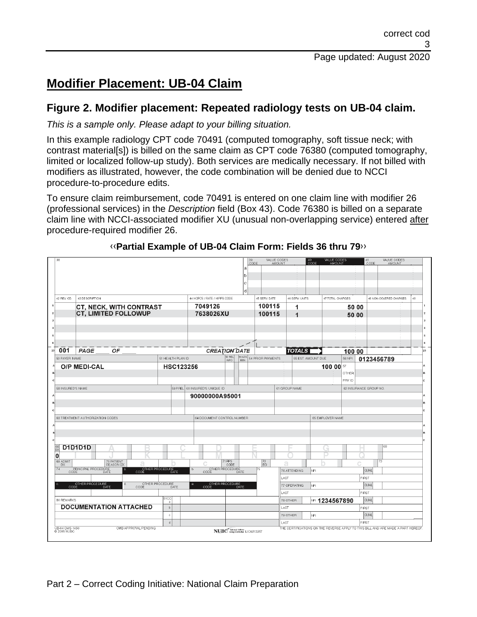## **Modifier Placement: UB-04 Claim**

### **Figure 2. Modifier placement: Repeated radiology tests on UB-04 claim.**

*This is a sample only. Please adapt to your billing situation.*

In this example radiology CPT code 70491 (computed tomography, soft tissue neck; with contrast material[s]) is billed on the same claim as CPT code 76380 (computed tomography, limited or localized follow-up study). Both services are medically necessary. If not billed with modifiers as illustrated, however, the code combination will be denied due to NCCI procedure-to-procedure edits.

To ensure claim reimbursement, code 70491 is entered on one claim line with modifier 26 (professional services) in the *Description* field (Box 43). Code 76380 is billed on a separate claim line with NCCI-associated modifier XU (unusual non-overlapping service) entered after procedure-required modifier 26.

| 38                                                                                                                                                  |                                       | 39<br>a<br>lb                                  | VALUE CODES<br>CODE<br>AMOUNT                                                 |                      | VALUE CODES<br>000E<br>AMOUNT                                                    | 41<br>CODE             | VALUE CODES<br>AMOUNT  |    |
|-----------------------------------------------------------------------------------------------------------------------------------------------------|---------------------------------------|------------------------------------------------|-------------------------------------------------------------------------------|----------------------|----------------------------------------------------------------------------------|------------------------|------------------------|----|
| 42 REV. CD.<br>43 DESCRIPTION                                                                                                                       | 44 HCPCS / RATE / HIPPS CODE          | c<br>ld.                                       | 45 SERV. DATE                                                                 | 46 SERV. UNITS       | 47 TOTAL CHARGES                                                                 |                        | 48 NON-COVERED CHARGES | 49 |
| CT, NECK, WITH CONTRAST<br>CT, LIMITED FOLLOWUP                                                                                                     | 7049126<br>7638026XU                  |                                                | 100115<br>100115                                                              | 1<br>1               |                                                                                  | 50:00<br>50 00         |                        |    |
|                                                                                                                                                     |                                       |                                                |                                                                               |                      |                                                                                  |                        |                        |    |
| 001<br>PAGE<br>OF                                                                                                                                   |                                       | CREATION DATE                                  |                                                                               | <b>TOTALS</b>        |                                                                                  | 100:00                 |                        |    |
| 50 PAYER NAME<br><b>O/P MEDI-CAL</b>                                                                                                                | 51 HEALTH PLAN ID<br><b>HSC123256</b> | 62 REL<br>53 ASG<br>INFO<br>BEN.               | 54 PRIOR PAYMENTS                                                             |                      | 56 NPI<br>55 EST. AMOUNT DUE<br>57<br>100 00<br>OTHER                            |                        | 0123456789             |    |
| 58 INSURED'S NAME                                                                                                                                   | 59 P.REL 60 INSURED'S UNIQUE ID       |                                                |                                                                               | 61 GROUP NAME        | PRV ID                                                                           | 62 INSURANCE GROUP NO. |                        |    |
|                                                                                                                                                     | 90000000A95001                        |                                                |                                                                               |                      |                                                                                  |                        |                        |    |
| 63 TREATMENT AUTHORIZATION CODES                                                                                                                    |                                       | 64 DOCUMENT CONTROL NUMBER                     |                                                                               |                      | 65 EMPLOYER NAME                                                                 |                        |                        |    |
| D1D1D1D<br>$rac{66}{D}$<br>0<br>70 PATIENT<br>REASON DX<br>69 ADMIT<br>DX<br>74<br>PRINCIPAL PROCEDURE<br>CODE DATE<br>OTHER PROCEDURE<br>CODE DATE | b.                                    | 71 PPS<br>CODE<br>OTHER PROCEDURE              | $\left  \begin{smallmatrix} 72 \\ \text{ECI} \end{smallmatrix} \right $<br>75 | 76 ATTENDING         | ÷<br>İм                                                                          | <b>QUAL</b>            | 68<br>73               |    |
|                                                                                                                                                     |                                       |                                                |                                                                               | LAST                 |                                                                                  | FIRST                  |                        |    |
| OTHER PROCEDURE<br>OTHER PROCEDURE<br>CODE DATE<br>d                                                                                                | e.<br><b>DATE</b>                     | OTHER PROCEDURE<br>CODE DATE                   |                                                                               | 77 OPERATING<br>LAST | İмPI                                                                             | <b>OUAL</b><br>FIRST   |                        |    |
| <b>BO REMARKS</b>                                                                                                                                   | <b>81CC</b><br>a.                     |                                                |                                                                               | 78 OTHER             | № 1234567890                                                                     | <b>QUAL</b>            |                        |    |
| <b>DOCUMENTATION ATTACHED</b>                                                                                                                       | b                                     |                                                |                                                                               | LAST                 |                                                                                  | FIRST                  |                        |    |
|                                                                                                                                                     | $\ddot{c}$                            |                                                |                                                                               | 79 OTHER             | NPI                                                                              | <b>QUAL</b>            |                        |    |
| OMB APPROVAL PENDING<br><b>UB-04 CMS-1450</b><br>2005 NUBC                                                                                          | d                                     | NUBC <sup>"</sup> National Uniom<br>LIC9213257 |                                                                               | LAST                 | THE CERTIFICATIONS ON THE REVERSE APPLY TO THIS BILL AND ARE MADE A PART HEREOF. | FIRST                  |                        |    |

#### [‹‹](#page-3-0)**Partial Example of UB-04 Claim Form: Fields 36 thru 79**[››](#page-3-1)